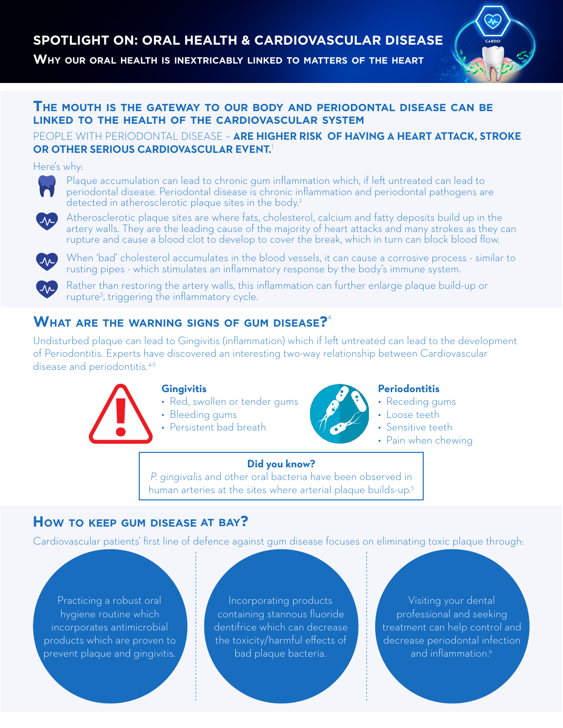**Why our oral health is inextricably linked to matters of the heart**



## **The mouth is the gateway to our body and periodontal disease can be linked to the health of the cardiovascular system**

## PEOPLE WITH PERIODONTAL DISEASE – **ARE HIGHER RISK OF HAVING A HEART ATTACK, STROKE OR OTHER SERIOUS CARDIOVASCULAR EVENT.**<sup>1</sup>

#### Here's why:



Plaque accumulation can lead to chronic gum inflammation which, if left untreated can lead to periodontal disease. Periodontal disease is chronic inflammation and periodontal pathogens are detected in atherosclerotic plaque sites in the body.<sup>2</sup>



Atherosclerotic plaque sites are where fats, cholesterol, calcium and fatty deposits build up in the artery walls. They are the leading cause of the majority of heart attacks and many strokes as they can rupture and cause a blood clot to develop to cover the break, which in turn can block blood flow.



When 'bad' cholesterol accumulates in the blood vessels, it can cause a corrosive process - similar to rusting pipes - which stimulates an inflammatory response by the body's immune system.



Rather than restoring the artery walls, this inflammation can further enlarge plaque build-up or rupture3 , triggering the inflammatory cycle.

## **What are the warning signs of gum disease?**<sup>4</sup>

Undisturbed plaque can lead to Gingivitis (inflammation) which if left untreated can lead to the development of Periodontitis. Experts have discovered an interesting two-way relationship between Cardiovascular disease and periodontitis.<sup>4,5</sup>



#### **Gingivitis**

- Red, swollen or tender gums
- Bleeding gums
	- Persistent bad breath



## **Periodontitis**

- Receding gums
- Loose teeth
- Sensitive teeth
- Pain when chewing

# **Did you know?**

*P. gingivalis* and other oral bacteria have been observed in human arteries at the sites where arterial plaque builds-up.<sup>5</sup>

## **HOW TO KEEP GUM DISEASE AT BAY?**

Cardiovascular patients' first line of defence against gum disease focuses on eliminating toxic plaque through:

Practicing a robust oral hygiene routine which incorporates antimicrobial products which are proven to prevent plaque and gingivitis.

Incorporating products containing stannous fluoride dentifrice which can decrease the toxicity/harmful effects of bad plaque bacteria.

Visiting your dental professional and seeking treatment can help control and decrease periodontal infection and inflammation.<sup>6</sup>